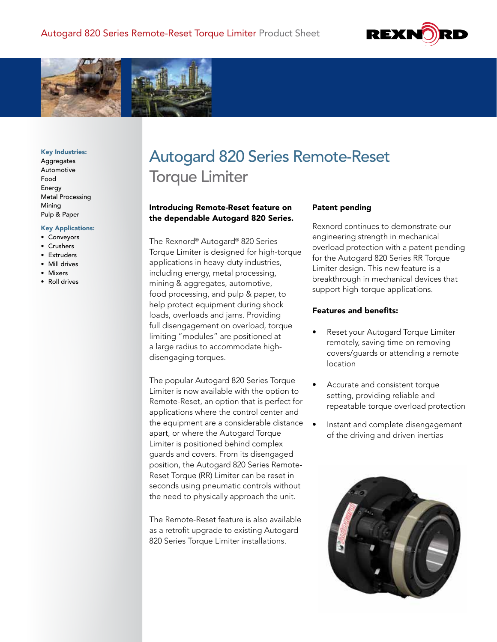



#### Key Industries:

Aggregates Automotive Food Energy Metal Processing Mining Pulp & Paper

#### Key Applications:

- Conveyors
- Crushers
- Extruders
- Mill drives
- Mixers
- Roll drives

# Autogard 820 Series Remote-Reset Torque Limiter

## Introducing Remote-Reset feature on the dependable Autogard 820 Series.

The Rexnord® Autogard® 820 Series Torque Limiter is designed for high-torque applications in heavy-duty industries, including energy, metal processing, mining & aggregates, automotive, food processing, and pulp & paper, to help protect equipment during shock loads, overloads and jams. Providing full disengagement on overload, torque limiting "modules" are positioned at a large radius to accommodate highdisengaging torques.

The popular Autogard 820 Series Torque Limiter is now available with the option to Remote-Reset, an option that is perfect for applications where the control center and the equipment are a considerable distance apart, or where the Autogard Torque Limiter is positioned behind complex guards and covers. From its disengaged position, the Autogard 820 Series Remote-Reset Torque (RR) Limiter can be reset in seconds using pneumatic controls without the need to physically approach the unit.

The Remote-Reset feature is also available as a retrofit upgrade to existing Autogard 820 Series Torque Limiter installations.

## Patent pending

Rexnord continues to demonstrate our engineering strength in mechanical overload protection with a patent pending for the Autogard 820 Series RR Torque Limiter design. This new feature is a breakthrough in mechanical devices that support high-torque applications.

### Features and benefits:

- Reset your Autogard Torque Limiter remotely, saving time on removing covers/guards or attending a remote location
- Accurate and consistent torque setting, providing reliable and repeatable torque overload protection
- Instant and complete disengagement of the driving and driven inertias